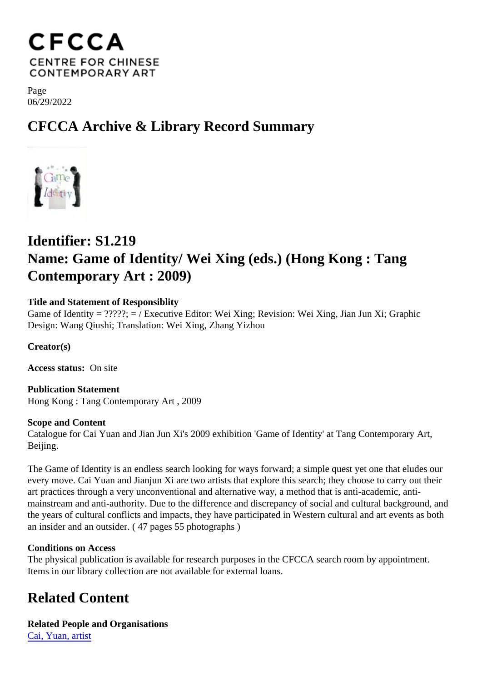Page 06/29/2022

## CFCCA Archive & Library Record Summary

## Identifier: S1.219 Name: Game of Identity/ Wei Xing (eds.) (Hong Kong : Tang Contemporary Art : 2009)

Title and Statement of Responsiblity Game of Identity = ?????; = / Executive Editor: Wei Xing; Revision: Wei Xing, Jian Jun Xi; Graphic Design: Wang Qiushi; Translation: Wei Xing, Zhang Yizhou

Creator(s)

Access status: On site

Publication Statement Hong Kong : Tang Contemporary Art , 2009

Scope and Content Catalogue for Cai Yuan and Jian Jun Xi's 2009 exhibition 'Game of Identity' at Tang Contemporary Art, Beijing.

The Game of Identity is an endless search looking for ways forward; a simple quest yet one that eludes ou every move. Cai Yuan and Jianjun Xi are two artists that explore this search; they choose to carry out their art practices through a very unconventional and alternative way, a method that is anti-academic, antimainstream and anti-authority. Due to the difference and discrepancy of social and cultural background, a the years of cultural conflicts and impacts, they have participated in Western cultural and art events as bot an insider and an outsider. ( 47 pages 55 photographs )

Conditions on Access

The physical publication is available for research purposes in the CFCCA search room by appointment. Items in our library collection are not available for external loans.

## Related Content

Related People and Organisations [Cai, Yuan, artis](/index.php/Detail/entities/133)t